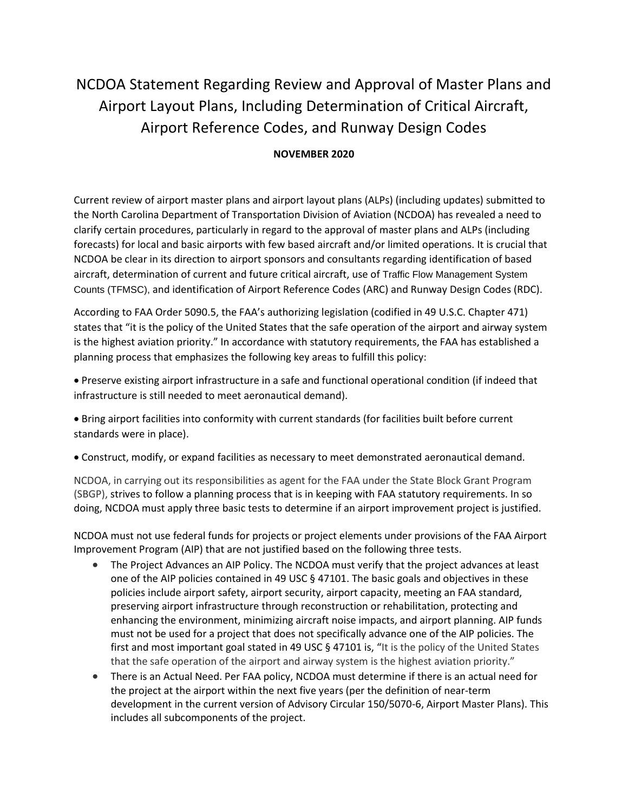## NCDOA Statement Regarding Review and Approval of Master Plans and Airport Layout Plans, Including Determination of Critical Aircraft, Airport Reference Codes, and Runway Design Codes

## **NOVEMBER 2020**

Current review of airport master plans and airport layout plans (ALPs) (including updates) submitted to the North Carolina Department of Transportation Division of Aviation (NCDOA) has revealed a need to clarify certain procedures, particularly in regard to the approval of master plans and ALPs (including forecasts) for local and basic airports with few based aircraft and/or limited operations. It is crucial that NCDOA be clear in its direction to airport sponsors and consultants regarding identification of based aircraft, determination of current and future critical aircraft, use of Traffic Flow Management System Counts (TFMSC), and identification of Airport Reference Codes (ARC) and Runway Design Codes (RDC).

According to FAA Order 5090.5, the FAA's authorizing legislation (codified in 49 U.S.C. Chapter 471) states that "it is the policy of the United States that the safe operation of the airport and airway system is the highest aviation priority." In accordance with statutory requirements, the FAA has established a planning process that emphasizes the following key areas to fulfill this policy:

• Preserve existing airport infrastructure in a safe and functional operational condition (if indeed that infrastructure is still needed to meet aeronautical demand).

• Bring airport facilities into conformity with current standards (for facilities built before current standards were in place).

• Construct, modify, or expand facilities as necessary to meet demonstrated aeronautical demand.

NCDOA, in carrying out its responsibilities as agent for the FAA under the State Block Grant Program (SBGP), strives to follow a planning process that is in keeping with FAA statutory requirements. In so doing, NCDOA must apply three basic tests to determine if an airport improvement project is justified.

NCDOA must not use federal funds for projects or project elements under provisions of the FAA Airport Improvement Program (AIP) that are not justified based on the following three tests.

- The Project Advances an AIP Policy. The NCDOA must verify that the project advances at least one of the AIP policies contained in 49 USC  $\S$  47101. The basic goals and objectives in these policies include airport safety, airport security, airport capacity, meeting an FAA standard, preserving airport infrastructure through reconstruction or rehabilitation, protecting and enhancing the environment, minimizing aircraft noise impacts, and airport planning. AIP funds must not be used for a project that does not specifically advance one of the AIP policies. The first and most important goal stated in 49 USC § 47101 is, "It is the policy of the United States that the safe operation of the airport and airway system is the highest aviation priority."
- There is an Actual Need. Per FAA policy, NCDOA must determine if there is an actual need for the project at the airport within the next five years (per the definition of near-term development in the current version of Advisory Circular 150/5070-6, Airport Master Plans). This includes all subcomponents of the project.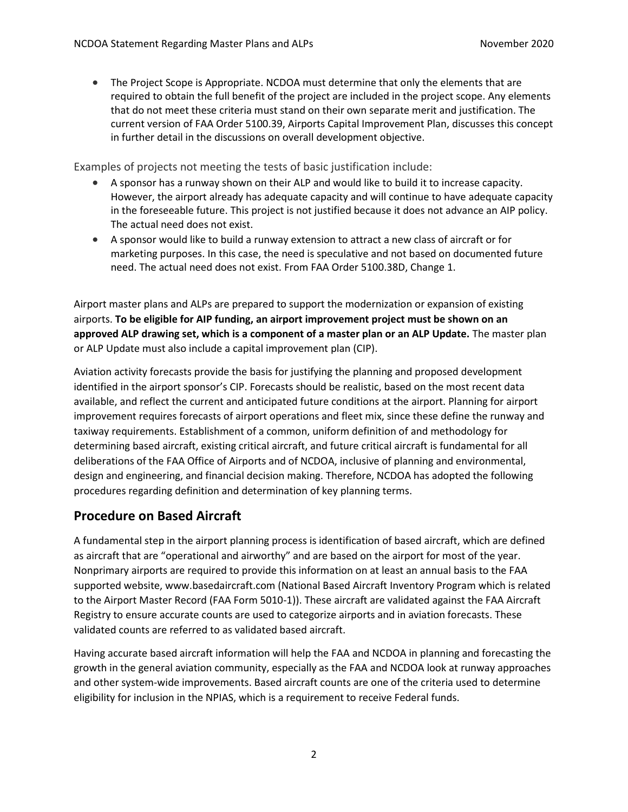• The Project Scope is Appropriate. NCDOA must determine that only the elements that are required to obtain the full benefit of the project are included in the project scope. Any elements that do not meet these criteria must stand on their own separate merit and justification. The current version of FAA Order 5100.39, Airports Capital Improvement Plan, discusses this concept in further detail in the discussions on overall development objective.

Examples of projects not meeting the tests of basic justification include:

- A sponsor has a runway shown on their ALP and would like to build it to increase capacity. However, the airport already has adequate capacity and will continue to have adequate capacity in the foreseeable future. This project is not justified because it does not advance an AIP policy. The actual need does not exist.
- A sponsor would like to build a runway extension to attract a new class of aircraft or for marketing purposes. In this case, the need is speculative and not based on documented future need. The actual need does not exist. From FAA Order 5100.38D, Change 1.

Airport master plans and ALPs are prepared to support the modernization or expansion of existing airports. **To be eligible for AIP funding, an airport improvement project must be shown on an approved ALP drawing set, which is a component of a master plan or an ALP Update.** The master plan or ALP Update must also include a capital improvement plan (CIP).

Aviation activity forecasts provide the basis for justifying the planning and proposed development identified in the airport sponsor's CIP. Forecasts should be realistic, based on the most recent data available, and reflect the current and anticipated future conditions at the airport. Planning for airport improvement requires forecasts of airport operations and fleet mix, since these define the runway and taxiway requirements. Establishment of a common, uniform definition of and methodology for determining based aircraft, existing critical aircraft, and future critical aircraft is fundamental for all deliberations of the FAA Office of Airports and of NCDOA, inclusive of planning and environmental, design and engineering, and financial decision making. Therefore, NCDOA has adopted the following procedures regarding definition and determination of key planning terms.

## **Procedure on Based Aircraft**

A fundamental step in the airport planning process is identification of based aircraft, which are defined as aircraft that are "operational and airworthy" and are based on the airport for most of the year. Nonprimary airports are required to provide this information on at least an annual basis to the FAA supported website, www.basedaircraft.com (National Based Aircraft Inventory Program which is related to the Airport Master Record (FAA Form 5010-1)). These aircraft are validated against the FAA Aircraft Registry to ensure accurate counts are used to categorize airports and in aviation forecasts. These validated counts are referred to as validated based aircraft.

Having accurate based aircraft information will help the FAA and NCDOA in planning and forecasting the growth in the general aviation community, especially as the FAA and NCDOA look at runway approaches and other system-wide improvements. Based aircraft counts are one of the criteria used to determine eligibility for inclusion in the NPIAS, which is a requirement to receive Federal funds.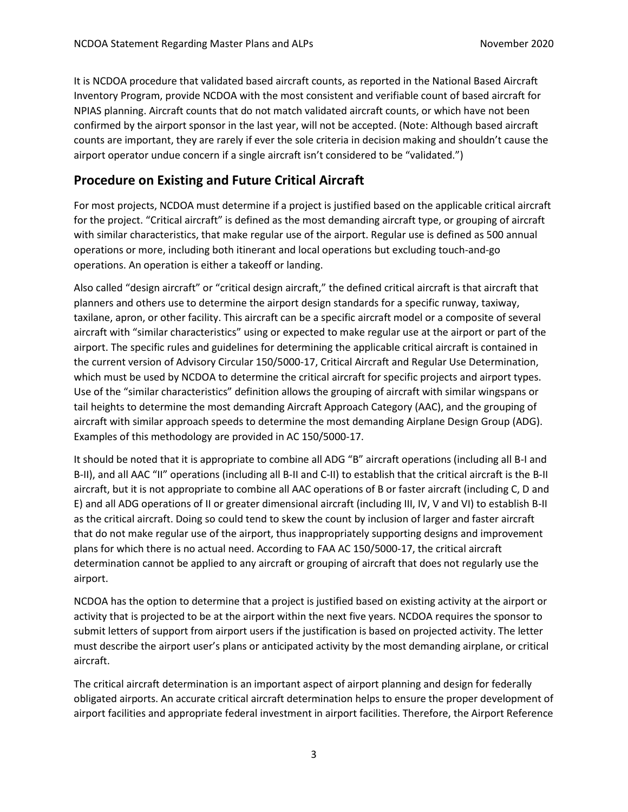It is NCDOA procedure that validated based aircraft counts, as reported in the National Based Aircraft Inventory Program, provide NCDOA with the most consistent and verifiable count of based aircraft for NPIAS planning. Aircraft counts that do not match validated aircraft counts, or which have not been confirmed by the airport sponsor in the last year, will not be accepted. (Note: Although based aircraft counts are important, they are rarely if ever the sole criteria in decision making and shouldn't cause the airport operator undue concern if a single aircraft isn't considered to be "validated.")

## **Procedure on Existing and Future Critical Aircraft**

For most projects, NCDOA must determine if a project is justified based on the applicable critical aircraft for the project. "Critical aircraft" is defined as the most demanding aircraft type, or grouping of aircraft with similar characteristics, that make regular use of the airport. Regular use is defined as 500 annual operations or more, including both itinerant and local operations but excluding touch-and-go operations. An operation is either a takeoff or landing.

Also called "design aircraft" or "critical design aircraft," the defined critical aircraft is that aircraft that planners and others use to determine the airport design standards for a specific runway, taxiway, taxilane, apron, or other facility. This aircraft can be a specific aircraft model or a composite of several aircraft with "similar characteristics" using or expected to make regular use at the airport or part of the airport. The specific rules and guidelines for determining the applicable critical aircraft is contained in the current version of Advisory Circular 150/5000-17, Critical Aircraft and Regular Use Determination, which must be used by NCDOA to determine the critical aircraft for specific projects and airport types. Use of the "similar characteristics" definition allows the grouping of aircraft with similar wingspans or tail heights to determine the most demanding Aircraft Approach Category (AAC), and the grouping of aircraft with similar approach speeds to determine the most demanding Airplane Design Group (ADG). Examples of this methodology are provided in AC 150/5000-17.

It should be noted that it is appropriate to combine all ADG "B" aircraft operations (including all B-I and B-II), and all AAC "II" operations (including all B-II and C-II) to establish that the critical aircraft is the B-II aircraft, but it is not appropriate to combine all AAC operations of B or faster aircraft (including C, D and E) and all ADG operations of II or greater dimensional aircraft (including III, IV, V and VI) to establish B-II as the critical aircraft. Doing so could tend to skew the count by inclusion of larger and faster aircraft that do not make regular use of the airport, thus inappropriately supporting designs and improvement plans for which there is no actual need. According to FAA AC 150/5000-17, the critical aircraft determination cannot be applied to any aircraft or grouping of aircraft that does not regularly use the airport.

NCDOA has the option to determine that a project is justified based on existing activity at the airport or activity that is projected to be at the airport within the next five years. NCDOA requires the sponsor to submit letters of support from airport users if the justification is based on projected activity. The letter must describe the airport user's plans or anticipated activity by the most demanding airplane, or critical aircraft.

The critical aircraft determination is an important aspect of airport planning and design for federally obligated airports. An accurate critical aircraft determination helps to ensure the proper development of airport facilities and appropriate federal investment in airport facilities. Therefore, the Airport Reference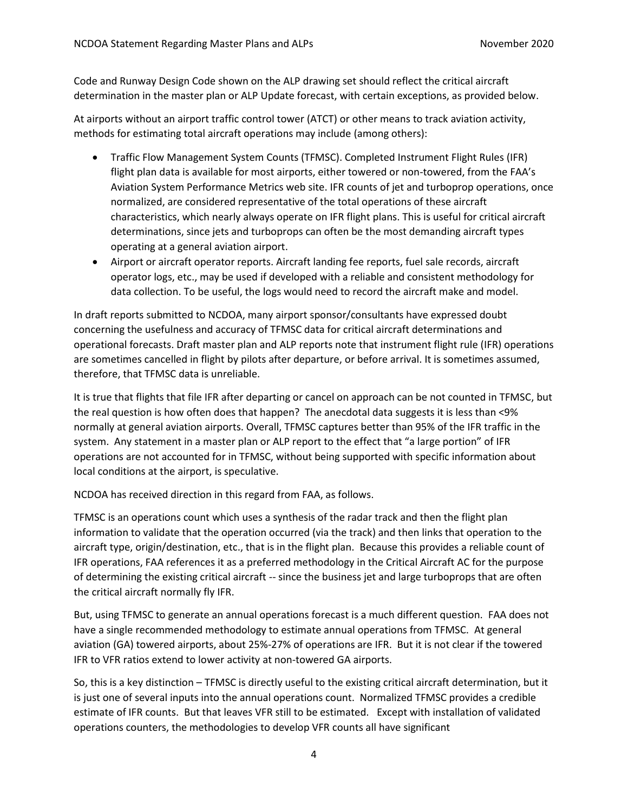Code and Runway Design Code shown on the ALP drawing set should reflect the critical aircraft determination in the master plan or ALP Update forecast, with certain exceptions, as provided below.

At airports without an airport traffic control tower (ATCT) or other means to track aviation activity, methods for estimating total aircraft operations may include (among others):

- Traffic Flow Management System Counts (TFMSC). Completed Instrument Flight Rules (IFR) flight plan data is available for most airports, either towered or non-towered, from the FAA's Aviation System Performance Metrics web site. IFR counts of jet and turboprop operations, once normalized, are considered representative of the total operations of these aircraft characteristics, which nearly always operate on IFR flight plans. This is useful for critical aircraft determinations, since jets and turboprops can often be the most demanding aircraft types operating at a general aviation airport.
- Airport or aircraft operator reports. Aircraft landing fee reports, fuel sale records, aircraft operator logs, etc., may be used if developed with a reliable and consistent methodology for data collection. To be useful, the logs would need to record the aircraft make and model.

In draft reports submitted to NCDOA, many airport sponsor/consultants have expressed doubt concerning the usefulness and accuracy of TFMSC data for critical aircraft determinations and operational forecasts. Draft master plan and ALP reports note that instrument flight rule (IFR) operations are sometimes cancelled in flight by pilots after departure, or before arrival. It is sometimes assumed, therefore, that TFMSC data is unreliable.

It is true that flights that file IFR after departing or cancel on approach can be not counted in TFMSC, but the real question is how often does that happen? The anecdotal data suggests it is less than <9% normally at general aviation airports. Overall, TFMSC captures better than 95% of the IFR traffic in the system. Any statement in a master plan or ALP report to the effect that "a large portion" of IFR operations are not accounted for in TFMSC, without being supported with specific information about local conditions at the airport, is speculative.

NCDOA has received direction in this regard from FAA, as follows.

TFMSC is an operations count which uses a synthesis of the radar track and then the flight plan information to validate that the operation occurred (via the track) and then links that operation to the aircraft type, origin/destination, etc., that is in the flight plan. Because this provides a reliable count of IFR operations, FAA references it as a preferred methodology in the Critical Aircraft AC for the purpose of determining the existing critical aircraft -- since the business jet and large turboprops that are often the critical aircraft normally fly IFR.

But, using TFMSC to generate an annual operations forecast is a much different question. FAA does not have a single recommended methodology to estimate annual operations from TFMSC. At general aviation (GA) towered airports, about 25%-27% of operations are IFR. But it is not clear if the towered IFR to VFR ratios extend to lower activity at non-towered GA airports.

So, this is a key distinction – TFMSC is directly useful to the existing critical aircraft determination, but it is just one of several inputs into the annual operations count. Normalized TFMSC provides a credible estimate of IFR counts. But that leaves VFR still to be estimated. Except with installation of validated operations counters, the methodologies to develop VFR counts all have significant